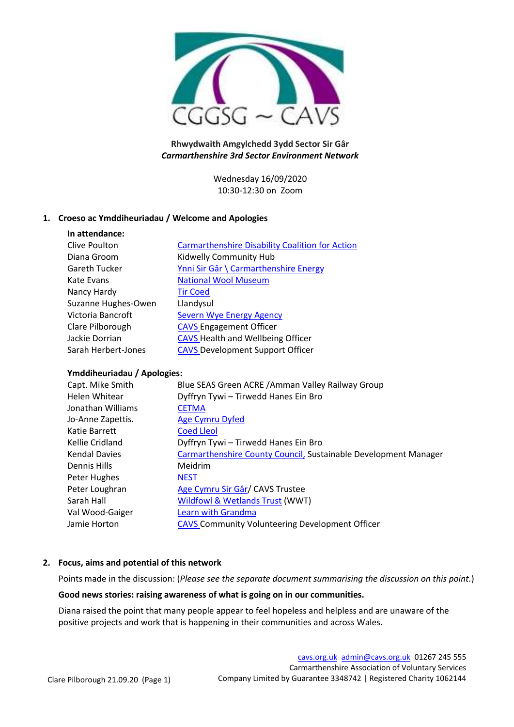

## **Rhwydwaith Amgylchedd 3ydd Sector Sir Gâr** *Carmarthenshire 3rd Sector Environment Network*

Wednesday 16/09/2020 10:30-12:30 on Zoom

# **1. Croeso ac Ymddiheuriadau / Welcome and Apologies**

| In attendance:       |                                                        |
|----------------------|--------------------------------------------------------|
| Clive Poulton        | <b>Carmarthenshire Disability Coalition for Action</b> |
| Diana Groom          | Kidwelly Community Hub                                 |
| <b>Gareth Tucker</b> | Ynni Sir Gâr \ Carmarthenshire Energy                  |
| Kate Evans           | <b>National Wool Museum</b>                            |
| Nancy Hardy          | <b>Tir Coed</b>                                        |
| Suzanne Hughes-Owen  | Llandysul                                              |
| Victoria Bancroft    | Severn Wye Energy Agency                               |
| Clare Pilborough     | <b>CAVS Engagement Officer</b>                         |
| Jackie Dorrian       | <b>CAVS Health and Wellbeing Officer</b>               |
| Sarah Herbert-Jones  | <b>CAVS Development Support Officer</b>                |

#### **Ymddiheuriadau / Apologies:**

| Capt. Mike Smith     | Blue SEAS Green ACRE / Amman Valley Railway Group                      |
|----------------------|------------------------------------------------------------------------|
| Helen Whitear        | Dyffryn Tywi - Tirwedd Hanes Ein Bro                                   |
| Jonathan Williams    | <b>CETMA</b>                                                           |
| Jo-Anne Zapettis.    | <b>Age Cymru Dyfed</b>                                                 |
| Katie Barrett        | <b>Coed Lleol</b>                                                      |
| Kellie Cridland      | Dyffryn Tywi - Tirwedd Hanes Ein Bro                                   |
| <b>Kendal Davies</b> | <b>Carmarthenshire County Council, Sustainable Development Manager</b> |
| Dennis Hills         | Meidrim                                                                |
| Peter Hughes         | <b>NEST</b>                                                            |
| Peter Loughran       | Age Cymru Sir Gâr/ CAVS Trustee                                        |
| Sarah Hall           | Wildfowl & Wetlands Trust (WWT)                                        |
| Val Wood-Gaiger      | Learn with Grandma                                                     |
| Jamie Horton         | <b>CAVS Community Volunteering Development Officer</b>                 |

# **2. Focus, aims and potential of this network**

Points made in the discussion: (*Please see the separate document summarising the discussion on this point.*)

#### **Good news stories: raising awareness of what is going on in our communities.**

Diana raised the point that many people appear to feel hopeless and helpless and are unaware of the positive projects and work that is happening in their communities and across Wales.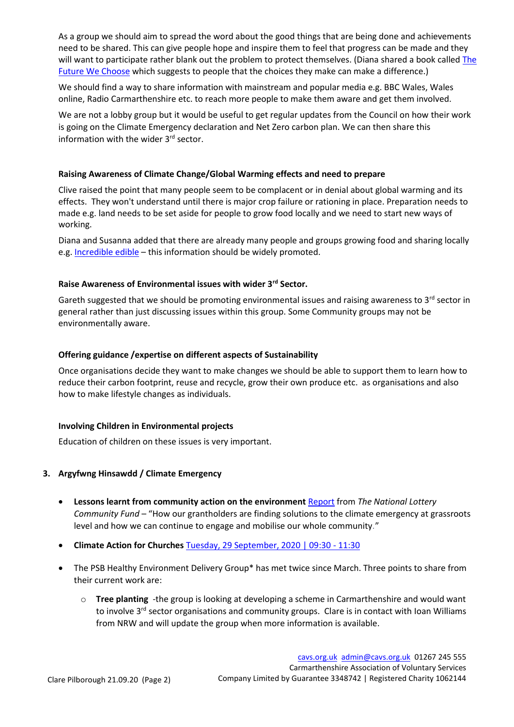As a group we should aim to spread the word about the good things that are being done and achievements need to be shared. This can give people hope and inspire them to feel that progress can be made and they will want to participate rather blank out the problem to protect themselves. (Diana shared a book calle[d The](https://globaloptimism.com/the-future-we-choose-book/)  [Future We Choose](https://globaloptimism.com/the-future-we-choose-book/) which suggests to people that the choices they make can make a difference.)

We should find a way to share information with mainstream and popular media e.g. BBC Wales, Wales online, Radio Carmarthenshire etc. to reach more people to make them aware and get them involved.

We are not a lobby group but it would be useful to get regular updates from the Council on how their work is going on the Climate Emergency declaration and Net Zero carbon plan. We can then share this information with the wider 3<sup>rd</sup> sector.

#### **Raising Awareness of Climate Change/Global Warming effects and need to prepare**

Clive raised the point that many people seem to be complacent or in denial about global warming and its effects. They won't understand until there is major crop failure or rationing in place. Preparation needs to made e.g. land needs to be set aside for people to grow food locally and we need to start new ways of working.

Diana and Susanna added that there are already many people and groups growing food and sharing locally e.g. [Incredible edible](https://www.facebook.com/groups/224874001178723) – this information should be widely promoted.

### **Raise Awareness of Environmental issues with wider 3rd Sector.**

Gareth suggested that we should be promoting environmental issues and raising awareness to  $3<sup>rd</sup>$  sector in general rather than just discussing issues within this group. Some Community groups may not be environmentally aware.

### **Offering guidance /expertise on different aspects of Sustainability**

Once organisations decide they want to make changes we should be able to support them to learn how to reduce their carbon footprint, reuse and recycle, grow their own produce etc. as organisations and also how to make lifestyle changes as individuals.

#### **Involving Children in Environmental projects**

Education of children on these issues is very important.

# **3. Argyfwng Hinsawdd / Climate Emergency**

- **Lessons learnt from community action on the environment** [Report](https://www.tnlcommunityfund.org.uk/insights/community-action-for-the-environment) from *The National Lottery Community Fund* – "How our grantholders are finding solutions to the climate emergency at grassroots level and how we can continue to engage and mobilise our whole community."
- **Climate Action for Churches** [Tuesday, 29 September, 2020 | 09:30 -](https://tocyn.cymru/en/event/a9389d5c-f835-4c70-af00-e216837ccea4) 11:30
- The PSB Healthy Environment Delivery Group\* has met twice since March. Three points to share from their current work are:
	- o **Tree planting** -the group is looking at developing a scheme in Carmarthenshire and would want to involve 3<sup>rd</sup> sector organisations and community groups. Clare is in contact with Ioan Williams from NRW and will update the group when more information is available.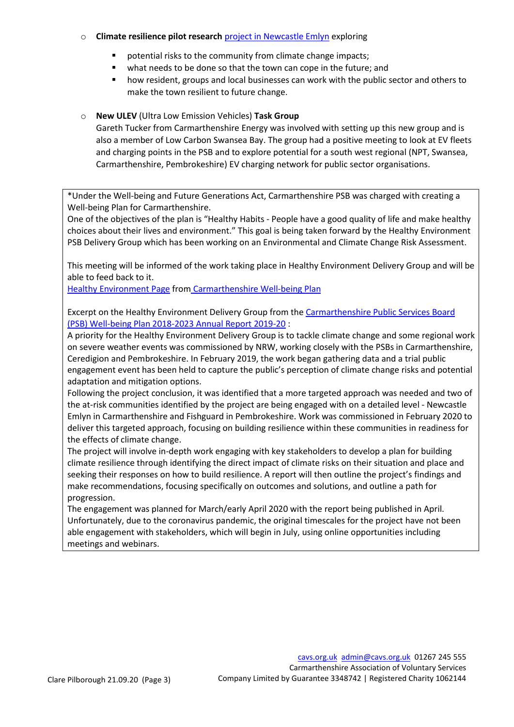### o **Climate resilience pilot research** [project in Newcastle Emlyn](http://www.cavs.org.uk/newcastle-emlyn-climate-resilience-pilot/) exploring

- potential risks to the community from climate change impacts;
- what needs to be done so that the town can cope in the future; and
- how resident, groups and local businesses can work with the public sector and others to make the town resilient to future change.

## o **New ULEV** (Ultra Low Emission Vehicles) **Task Group**

Gareth Tucker from Carmarthenshire Energy was involved with setting up this new group and is also a member of Low Carbon Swansea Bay. The group had a positive meeting to look at EV fleets and charging points in the PSB and to explore potential for a south west regional (NPT, Swansea, Carmarthenshire, Pembrokeshire) EV charging network for public sector organisations.

\*Under the Well-being and Future Generations Act, Carmarthenshire PSB was charged with creating a Well-being Plan for Carmarthenshire.

One of the objectives of the plan is "Healthy Habits ‐ People have a good quality of life and make healthy choices about their lives and environment." This goal is being taken forward by the Healthy Environment PSB Delivery Group which has been working on an Environmental and Climate Change Risk Assessment.

This meeting will be informed of the work taking place in Healthy Environment Delivery Group and will be able to feed back to it.

[Healthy Environment Page](http://www.cavs.org.uk/wp-content/uploads/2019/12/well-being-plan-environment-page.pdf) from [Carmarthenshire Well-being Plan](http://www.thecarmarthenshirewewant.wales/media/8331/carmarthenshire-well-being-plan-final-may-2018.pdf)

Excerpt on the Healthy Environment Delivery Group from the [Carmarthenshire Public Services Board](http://www.thecarmarthenshirewewant.wales/media/8487/annual-report-2019-20.pdf)  [\(PSB\) Well-being Plan 2018-2023 Annual Report 2019-20](http://www.thecarmarthenshirewewant.wales/media/8487/annual-report-2019-20.pdf) :

A priority for the Healthy Environment Delivery Group is to tackle climate change and some regional work on severe weather events was commissioned by NRW, working closely with the PSBs in Carmarthenshire, Ceredigion and Pembrokeshire. In February 2019, the work began gathering data and a trial public engagement event has been held to capture the public's perception of climate change risks and potential adaptation and mitigation options.

Following the project conclusion, it was identified that a more targeted approach was needed and two of the at-risk communities identified by the project are being engaged with on a detailed level - Newcastle Emlyn in Carmarthenshire and Fishguard in Pembrokeshire. Work was commissioned in February 2020 to deliver this targeted approach, focusing on building resilience within these communities in readiness for the effects of climate change.

The project will involve in‐depth work engaging with key stakeholders to develop a plan for building climate resilience through identifying the direct impact of climate risks on their situation and place and seeking their responses on how to build resilience. A report will then outline the project's findings and make recommendations, focusing specifically on outcomes and solutions, and outline a path for progression.

The engagement was planned for March/early April 2020 with the report being published in April. Unfortunately, due to the coronavirus pandemic, the original timescales for the project have not been able engagement with stakeholders, which will begin in July, using online opportunities including meetings and webinars.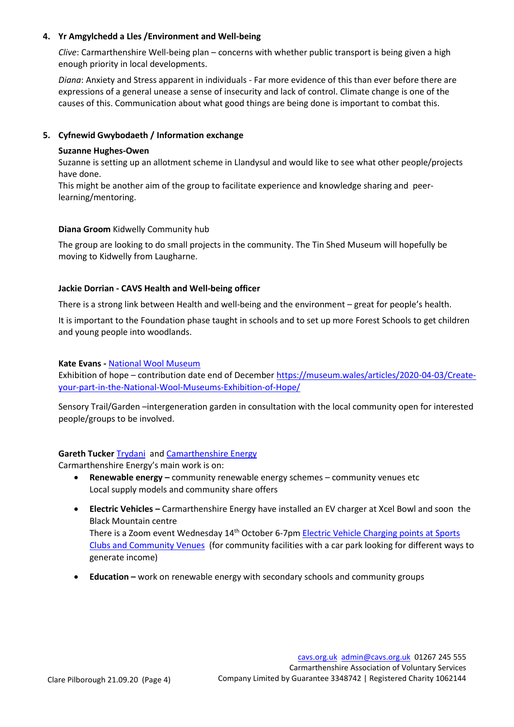### **4. Yr Amgylchedd a Lles /Environment and Well-being**

*Clive*: Carmarthenshire Well-being plan – concerns with whether public transport is being given a high enough priority in local developments.

*Diana*: Anxiety and Stress apparent in individuals - Far more evidence of this than ever before there are expressions of a general unease a sense of insecurity and lack of control. Climate change is one of the causes of this. Communication about what good things are being done is important to combat this.

## **5. Cyfnewid Gwybodaeth / Information exchange**

### **Suzanne Hughes-Owen**

Suzanne is setting up an allotment scheme in Llandysul and would like to see what other people/projects have done.

This might be another aim of the group to facilitate experience and knowledge sharing and peerlearning/mentoring.

### **Diana Groom** Kidwelly Community hub

The group are looking to do small projects in the community. The Tin Shed Museum will hopefully be moving to Kidwelly from Laugharne.

### **Jackie Dorrian - CAVS Health and Well-being officer**

There is a strong link between Health and well-being and the environment – great for people's health.

It is important to the Foundation phase taught in schools and to set up more Forest Schools to get children and young people into woodlands.

#### **Kate Evans -** [National Wool Museum](https://museum.wales/wool/)

Exhibition of hope – contribution date end of December [https://museum.wales/articles/2020-04-03/Create](https://museum.wales/articles/2020-04-03/Create-your-part-in-the-National-Wool-Museums-Exhibition-of-Hope/)[your-part-in-the-National-Wool-Museums-Exhibition-of-Hope/](https://museum.wales/articles/2020-04-03/Create-your-part-in-the-National-Wool-Museums-Exhibition-of-Hope/)

Sensory Trail/Garden –intergeneration garden in consultation with the local community open for interested people/groups to be involved.

#### **Gareth Tucker** [Trydani](https://chargeplacewales.org/) an[d Camarthenshire Energy](http://www.carmarthenshireenergy.org/YSG/index)

Carmarthenshire Energy's main work is on:

- **Renewable energy –** community renewable energy schemes community venues etc Local supply models and community share offers
- **Electric Vehicles –** Carmarthenshire Energy have installed an EV charger at Xcel Bowl and soon the Black Mountain centre There is a Zoom event Wednesday 14<sup>th</sup> October 6-7pm Electric Vehicle Charging points at Sports [Clubs and Community Venues](https://tocyn.cymru/en/event/0db9ef96-f4b5-41f8-bb12-18096e7667d4) (for community facilities with a car park looking for different ways to generate income)
- **Education –** work on renewable energy with secondary schools and community groups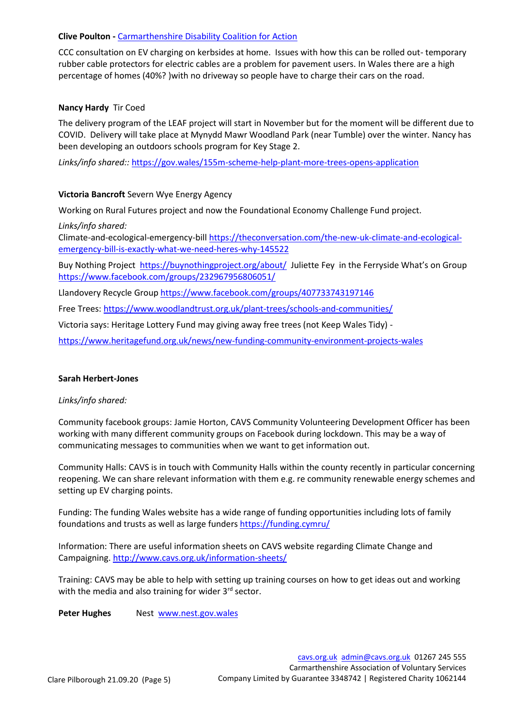#### **Clive Poulton -** [Carmarthenshire Disability Coalition for Action](http://www.cdcfa.org.uk/)

CCC consultation on EV charging on kerbsides at home. Issues with how this can be rolled out- temporary rubber cable protectors for electric cables are a problem for pavement users. In Wales there are a high percentage of homes (40%? )with no driveway so people have to charge their cars on the road.

### **Nancy Hardy** Tir Coed

The delivery program of the LEAF project will start in November but for the moment will be different due to COVID. Delivery will take place at Mynydd Mawr Woodland Park (near Tumble) over the winter. Nancy has been developing an outdoors schools program for Key Stage 2.

*Links/info shared::* <https://gov.wales/155m-scheme-help-plant-more-trees-opens-application>

### **Victoria Bancroft** Severn Wye Energy Agency

Working on Rural Futures project and now the Foundational Economy Challenge Fund project.

*Links/info shared:*

Climate-and-ecological-emergency-bill [https://theconversation.com/the-new-uk-climate-and-ecological](https://theconversation.com/the-new-uk-climate-and-ecological-emergency-bill-is-exactly-what-we-need-heres-why-145522)[emergency-bill-is-exactly-what-we-need-heres-why-145522](https://theconversation.com/the-new-uk-climate-and-ecological-emergency-bill-is-exactly-what-we-need-heres-why-145522)

Buy Nothing Project <https://buynothingproject.org/about/>Juliette Fey in the Ferryside What's on Group <https://www.facebook.com/groups/232967956806051/>

Llandovery Recycle Group<https://www.facebook.com/groups/407733743197146>

Free Trees:<https://www.woodlandtrust.org.uk/plant-trees/schools-and-communities/>

Victoria says: Heritage Lottery Fund may giving away free trees (not Keep Wales Tidy) -

<https://www.heritagefund.org.uk/news/new-funding-community-environment-projects-wales>

#### **Sarah Herbert-Jones**

#### *Links/info shared:*

Community facebook groups: Jamie Horton, CAVS Community Volunteering Development Officer has been working with many different community groups on Facebook during lockdown. This may be a way of communicating messages to communities when we want to get information out.

Community Halls: CAVS is in touch with Community Halls within the county recently in particular concerning reopening. We can share relevant information with them e.g. re community renewable energy schemes and setting up EV charging points.

Funding: The funding Wales website has a wide range of funding opportunities including lots of family foundations and trusts as well as large funders <https://funding.cymru/>

Information: There are useful information sheets on CAVS website regarding Climate Change and Campaigning. <http://www.cavs.org.uk/information-sheets/>

Training: CAVS may be able to help with setting up training courses on how to get ideas out and working with the media and also training for wider 3<sup>rd</sup> sector.

Peter Hughes Nest [www.nest.gov.wales](http://www.nest.gov.wales/)